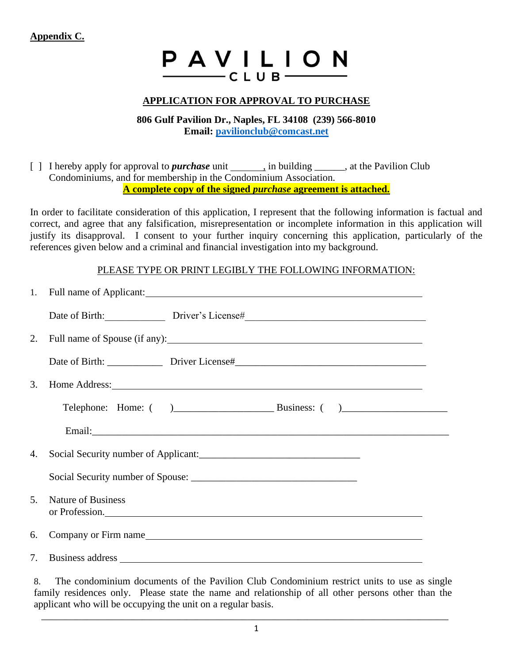## **Appendix C.**

## PAVILION  $-c$ LUB $-$

## **APPLICATION FOR APPROVAL TO PURCHASE**

**806 Gulf Pavilion Dr., Naples, FL 34108 (239) 566-8010 Email: [pavilionclub@comcast.net](mailto:pavilionclub@comcast.net)**

[ ] I hereby apply for approval to *purchase* unit , in building , at the Pavilion Club Condominiums, and for membership in the Condominium Association. **A complete copy of the signed** *purchase* **agreement is attached.**

In order to facilitate consideration of this application, I represent that the following information is factual and correct, and agree that any falsification, misrepresentation or incomplete information in this application will justify its disapproval. I consent to your further inquiry concerning this application, particularly of the references given below and a criminal and financial investigation into my background.

## PLEASE TYPE OR PRINT LEGIBLY THE FOLLOWING INFORMATION:

|                                  | 1. Full name of Applicant:                  |                                                                                                                                                                                                                                      |  |  |  |
|----------------------------------|---------------------------------------------|--------------------------------------------------------------------------------------------------------------------------------------------------------------------------------------------------------------------------------------|--|--|--|
|                                  |                                             | Date of Birth: Driver's License#                                                                                                                                                                                                     |  |  |  |
|                                  | 2. Full name of Spouse (if any):            |                                                                                                                                                                                                                                      |  |  |  |
|                                  |                                             |                                                                                                                                                                                                                                      |  |  |  |
| 3.                               |                                             | Home Address: <u>New York: New York: New York: New York: New York: New York: New York: New York: New York: New York: New York: New York: New York: New York: New York: New York: New York: New York: New York: New York: New Yor</u> |  |  |  |
|                                  |                                             |                                                                                                                                                                                                                                      |  |  |  |
|                                  |                                             |                                                                                                                                                                                                                                      |  |  |  |
| 4.                               |                                             |                                                                                                                                                                                                                                      |  |  |  |
|                                  |                                             |                                                                                                                                                                                                                                      |  |  |  |
| 5 <sub>1</sub>                   | <b>Nature of Business</b><br>or Profession. |                                                                                                                                                                                                                                      |  |  |  |
|                                  | 6. Company or Firm name                     |                                                                                                                                                                                                                                      |  |  |  |
| $7_{\scriptscriptstyle{\ddots}}$ |                                             |                                                                                                                                                                                                                                      |  |  |  |

8. The condominium documents of the Pavilion Club Condominium restrict units to use as single family residences only. Please state the name and relationship of all other persons other than the applicant who will be occupying the unit on a regular basis.

\_\_\_\_\_\_\_\_\_\_\_\_\_\_\_\_\_\_\_\_\_\_\_\_\_\_\_\_\_\_\_\_\_\_\_\_\_\_\_\_\_\_\_\_\_\_\_\_\_\_\_\_\_\_\_\_\_\_\_\_\_\_\_\_\_\_\_\_\_\_\_\_\_\_\_\_\_\_\_\_\_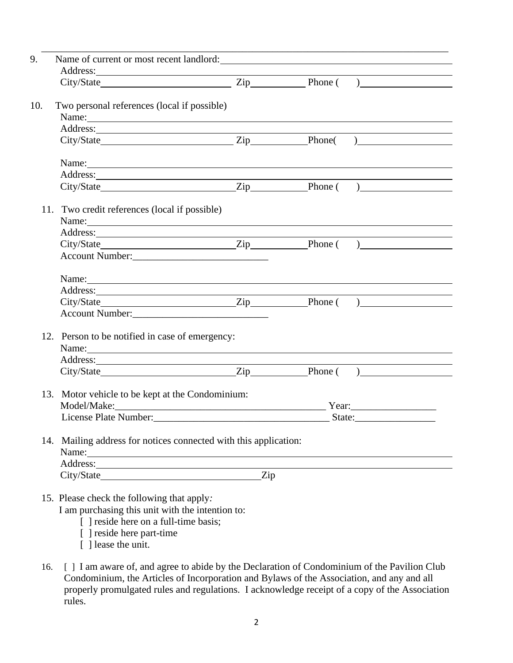|     | Name of current or most recent landlord:                                                                                                                                                                                             |  |                       |  |  |  |
|-----|--------------------------------------------------------------------------------------------------------------------------------------------------------------------------------------------------------------------------------------|--|-----------------------|--|--|--|
|     | Address:                                                                                                                                                                                                                             |  |                       |  |  |  |
| 10. | Two personal references (local if possible)<br>Name: Name:                                                                                                                                                                           |  |                       |  |  |  |
|     |                                                                                                                                                                                                                                      |  |                       |  |  |  |
|     |                                                                                                                                                                                                                                      |  |                       |  |  |  |
|     | Name: Name and the set of the set of the set of the set of the set of the set of the set of the set of the set of the set of the set of the set of the set of the set of the set of the set of the set of the set of the set o       |  |                       |  |  |  |
|     | Address: <u>International Contract of the Second Contract of the Second Contract of the Second Contract of the Second Contract of the Second Contract of the Second Contract of the Second Contract of the Second Contract of th</u> |  |                       |  |  |  |
|     |                                                                                                                                                                                                                                      |  |                       |  |  |  |
|     | 11. Two credit references (local if possible)                                                                                                                                                                                        |  |                       |  |  |  |
|     | Name: Name and the second contract of the second contract of the second contract of the second contract of the second contract of the second contract of the second contract of the second contract of the second contract of        |  |                       |  |  |  |
|     |                                                                                                                                                                                                                                      |  |                       |  |  |  |
|     |                                                                                                                                                                                                                                      |  |                       |  |  |  |
|     | Account Number:                                                                                                                                                                                                                      |  |                       |  |  |  |
|     |                                                                                                                                                                                                                                      |  |                       |  |  |  |
|     | Address:                                                                                                                                                                                                                             |  |                       |  |  |  |
|     |                                                                                                                                                                                                                                      |  |                       |  |  |  |
|     | Account Number:                                                                                                                                                                                                                      |  |                       |  |  |  |
|     | 12. Person to be notified in case of emergency:                                                                                                                                                                                      |  |                       |  |  |  |
|     | Name: Name and the second contract of the second contract of the second contract of the second contract of the second contract of the second contract of the second contract of the second contract of the second contract of        |  |                       |  |  |  |
|     | Address: <u>and the same of the same of the same of the same of the same of the same of the same of the same of the same of the same of the same of the same of the same of the same of the same of the same of the same of the </u> |  |                       |  |  |  |
|     |                                                                                                                                                                                                                                      |  |                       |  |  |  |
|     | 13. Motor vehicle to be kept at the Condominium:                                                                                                                                                                                     |  |                       |  |  |  |
|     | Model/Make:                                                                                                                                                                                                                          |  | Year: $\qquad \qquad$ |  |  |  |
|     | License Plate Number:                                                                                                                                                                                                                |  | State:                |  |  |  |
|     | 14. Mailing address for notices connected with this application:                                                                                                                                                                     |  |                       |  |  |  |
|     |                                                                                                                                                                                                                                      |  |                       |  |  |  |
|     | Address:                                                                                                                                                                                                                             |  |                       |  |  |  |

- [ ] reside here on a full-time basis;
- [ ] reside here part-time
- [ ] lease the unit.
- 16. [ ] I am aware of, and agree to abide by the Declaration of Condominium of the Pavilion Club Condominium, the Articles of Incorporation and Bylaws of the Association, and any and all properly promulgated rules and regulations. I acknowledge receipt of a copy of the Association rules.